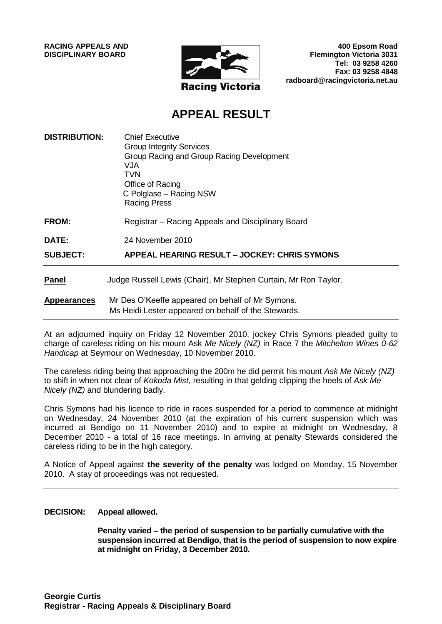**RACING APPEALS AND DISCIPLINARY BOARD**



**400 Epsom Road Flemington Victoria 3031 Tel: 03 9258 4260 Fax: 03 9258 4848 radboard@racingvictoria.net.au**

## **APPEAL RESULT**

| <b>DISTRIBUTION:</b> | <b>Chief Executive</b><br><b>Group Integrity Services</b><br>Group Racing and Group Racing Development<br>VJA.<br>TVN<br>Office of Racing<br>C Polglase - Racing NSW<br><b>Racing Press</b> |
|----------------------|---------------------------------------------------------------------------------------------------------------------------------------------------------------------------------------------|
| <b>FROM:</b>         | Registrar – Racing Appeals and Disciplinary Board                                                                                                                                           |
| <b>DATE:</b>         | 24 November 2010                                                                                                                                                                            |
| <b>SUBJECT:</b>      | APPEAL HEARING RESULT – JOCKEY: CHRIS SYMONS                                                                                                                                                |
| <b>Panel</b>         | Judge Russell Lewis (Chair), Mr Stephen Curtain, Mr Ron Taylor.                                                                                                                             |
| <b>Appearances</b>   | Mr Des O'Keeffe appeared on behalf of Mr Symons.<br>Ms Heidi Lester appeared on behalf of the Stewards.                                                                                     |

At an adjourned inquiry on Friday 12 November 2010, jockey Chris Symons pleaded guilty to charge of careless riding on his mount Ask *Me Nicely (NZ)* in Race 7 the *Mitchelton Wines 0-62 Handicap* at Seymour on Wednesday, 10 November 2010.

The careless riding being that approaching the 200m he did permit his mount *Ask Me Nicely (NZ)*  to shift in when not clear of *Kokoda Mist*, resulting in that gelding clipping the heels of *Ask Me Nicely (NZ)* and blundering badly.

Chris Symons had his licence to ride in races suspended for a period to commence at midnight on Wednesday, 24 November 2010 (at the expiration of his current suspension which was incurred at Bendigo on 11 November 2010) and to expire at midnight on Wednesday, 8 December 2010 - a total of 16 race meetings. In arriving at penalty Stewards considered the careless riding to be in the high category.

A Notice of Appeal against **the severity of the penalty** was lodged on Monday, 15 November 2010. A stay of proceedings was not requested.

#### **DECISION: Appeal allowed.**

**Penalty varied – the period of suspension to be partially cumulative with the suspension incurred at Bendigo, that is the period of suspension to now expire at midnight on Friday, 3 December 2010.**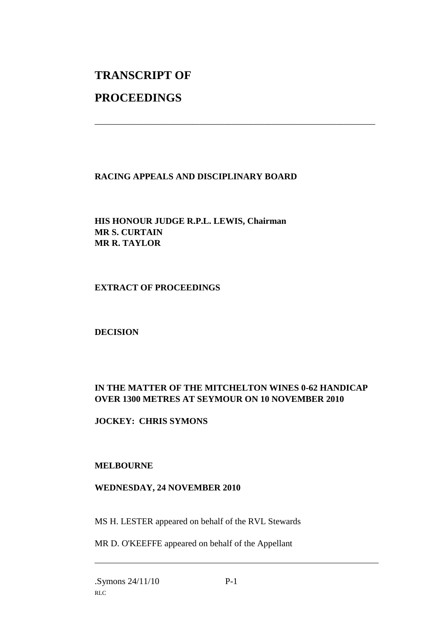# **TRANSCRIPT OF**

## **PROCEEDINGS**

### **RACING APPEALS AND DISCIPLINARY BOARD**

\_\_\_\_\_\_\_\_\_\_\_\_\_\_\_\_\_\_\_\_\_\_\_\_\_\_\_\_\_\_\_\_\_\_\_\_\_\_\_\_\_\_\_\_\_\_\_\_\_\_\_\_\_\_\_\_\_\_\_\_\_\_\_

**HIS HONOUR JUDGE R.P.L. LEWIS, Chairman MR S. CURTAIN MR R. TAYLOR**

#### **EXTRACT OF PROCEEDINGS**

**DECISION**

#### **IN THE MATTER OF THE MITCHELTON WINES 0-62 HANDICAP OVER 1300 METRES AT SEYMOUR ON 10 NOVEMBER 2010**

**JOCKEY: CHRIS SYMONS**

#### **MELBOURNE**

#### **WEDNESDAY, 24 NOVEMBER 2010**

MS H. LESTER appeared on behalf of the RVL Stewards

MR D. O'KEEFFE appeared on behalf of the Appellant